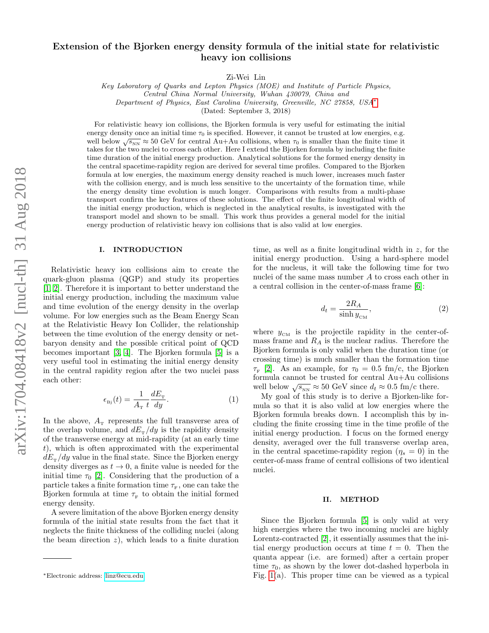# Extension of the Bjorken energy density formula of the initial state for relativistic heavy ion collisions

Zi-Wei Lin

Key Laboratory of Quarks and Lepton Physics (MOE) and Institute of Particle Physics, Central China Normal University, Wuhan 430079, China and Department of Physics, East Carolina University, Greenville, NC 27858, USA[∗](#page-0-0)

(Dated: September 3, 2018)

For relativistic heavy ion collisions, the Bjorken formula is very useful for estimating the initial energy density once an initial time  $\tau_0$  is specified. However, it cannot be trusted at low energies, e.g. well below  $\sqrt{s_{NN}} \approx 50$  GeV for central Au+Au collisions, when  $\tau_0$  is smaller than the finite time it takes for the two nuclei to cross each other. Here I extend the Bjorken formula by including the finite time duration of the initial energy production. Analytical solutions for the formed energy density in the central spacetime-rapidity region are derived for several time profiles. Compared to the Bjorken formula at low energies, the maximum energy density reached is much lower, increases much faster with the collision energy, and is much less sensitive to the uncertainty of the formation time, while the energy density time evolution is much longer. Comparisons with results from a multi-phase transport confirm the key features of these solutions. The effect of the finite longitudinal width of the initial energy production, which is neglected in the analytical results, is investigated with the transport model and shown to be small. This work thus provides a general model for the initial energy production of relativistic heavy ion collisions that is also valid at low energies.

#### I. INTRODUCTION

Relativistic heavy ion collisions aim to create the quark-gluon plasma (QGP) and study its properties [\[1,](#page-5-0) [2\]](#page-5-1). Therefore it is important to better understand the initial energy production, including the maximum value and time evolution of the energy density in the overlap volume. For low energies such as the Beam Energy Scan at the Relativistic Heavy Ion Collider, the relationship between the time evolution of the energy density or netbaryon density and the possible critical point of QCD becomes important [\[3,](#page-5-2) [4\]](#page-5-3). The Bjorken formula [\[5\]](#page-5-4) is a very useful tool in estimating the initial energy density in the central rapidity region after the two nuclei pass each other:

<span id="page-0-1"></span>
$$
\epsilon_{\rm Bj}(t) = \frac{1}{A_{\rm T}} \frac{dE_{\rm T}}{dy}.\tag{1}
$$

In the above,  $A_{\text{T}}$  represents the full transverse area of the overlap volume, and  $dE_{\rm T}/dy$  is the rapidity density of the transverse energy at mid-rapidity (at an early time t), which is often approximated with the experimental  $dE<sub>T</sub>/dy$  value in the final state. Since the Bjorken energy density diverges as  $t \to 0$ , a finite value is needed for the initial time  $\tau_0$  [\[2\]](#page-5-1). Considering that the production of a particle takes a finite formation time  $\tau_{\rm F}$ , one can take the Bjorken formula at time  $\tau_{\text{F}}$  to obtain the initial formed energy density.

A severe limitation of the above Bjorken energy density formula of the initial state results from the fact that it neglects the finite thickness of the colliding nuclei (along the beam direction  $z$ ), which leads to a finite duration

time, as well as a finite longitudinal width in z, for the initial energy production. Using a hard-sphere model for the nucleus, it will take the following time for two nuclei of the same mass number A to cross each other in a central collision in the center-of-mass frame [\[6\]](#page-5-5):

$$
d_t = \frac{2R_A}{\sinh y_{\text{CM}}},\tag{2}
$$

where  $y_{\text{CM}}$  is the projectile rapidity in the center-ofmass frame and  $R_A$  is the nuclear radius. Therefore the Bjorken formula is only valid when the duration time (or crossing time) is much smaller than the formation time  $\tau_{\rm F}$  [\[2\]](#page-5-1). As an example, for  $\tau_0 = 0.5$  fm/c, the Bjorken formula cannot be trusted for central Au+Au collisions well below  $\sqrt{s_{_{NN}}} \approx 50$  GeV since  $d_t \approx 0.5$  fm/c there.

My goal of this study is to derive a Bjorken-like formula so that it is also valid at low energies where the Bjorken formula breaks down. I accomplish this by including the finite crossing time in the time profile of the initial energy production. I focus on the formed energy density, averaged over the full transverse overlap area, in the central spacetime-rapidity region  $(\eta_s = 0)$  in the center-of-mass frame of central collisions of two identical nuclei.

#### II. METHOD

Since the Bjorken formula [\[5\]](#page-5-4) is only valid at very high energies where the two incoming nuclei are highly Lorentz-contracted [\[2\]](#page-5-1), it essentially assumes that the initial energy production occurs at time  $t = 0$ . Then the quanta appear (i.e. are formed) after a certain proper time  $\tau_0$ , as shown by the lower dot-dashed hyperbola in Fig. [1\(](#page-1-0)a). This proper time can be viewed as a typical

<span id="page-0-0"></span><sup>∗</sup>Electronic address: [linz@ecu.edu](mailto:linz@ecu.edu)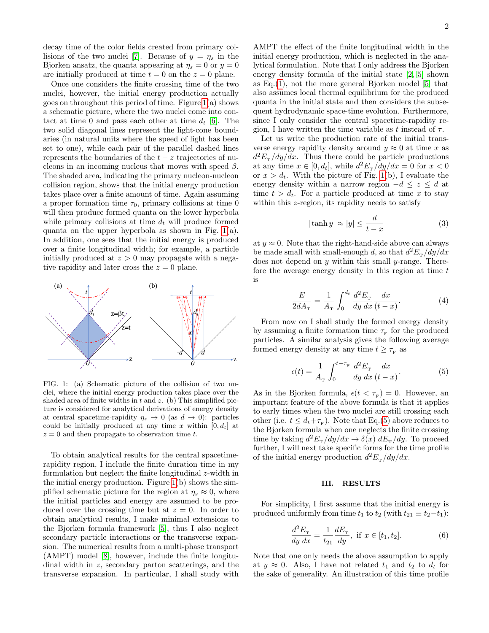decay time of the color fields created from primary col-lisions of the two nuclei [\[7\]](#page-5-6). Because of  $y = \eta_s$  in the Bjorken ansatz, the quanta appearing at  $\eta_s = 0$  or  $y = 0$ are initially produced at time  $t = 0$  on the  $z = 0$  plane.

Once one considers the finite crossing time of the two nuclei, however, the initial energy production actually goes on throughout this period of time. Figure [1\(](#page-1-0)a) shows a schematic picture, where the two nuclei come into contact at time 0 and pass each other at time  $d_t$  [\[6\]](#page-5-5). The two solid diagonal lines represent the light-cone boundaries (in natural units where the speed of light has been set to one), while each pair of the parallel dashed lines represents the boundaries of the  $t - z$  trajectories of nucleons in an incoming nucleus that moves with speed  $\beta$ . The shaded area, indicating the primary nucleon-nucleon collision region, shows that the initial energy production takes place over a finite amount of time. Again assuming a proper formation time  $\tau_0$ , primary collisions at time 0 will then produce formed quanta on the lower hyperbolarwhile primary collisions at time  $d_t$  will produce formed quanta on the upper hyperbola as shown in Fig. [1\(](#page-1-0)a). In addition, one sees that the initial energy is produced over a finite longitudinal width; for example, a particle initially produced at  $z > 0$  may propagate with a negative rapidity and later cross the  $z = 0$  plane.



<span id="page-1-0"></span>FIG. 1: (a) Schematic picture of the collision of two nuclei, where the initial energy production takes place over the shaded area of finite widths in  $t$  and  $z$ . (b) This simplified picture is considered for analytical derivations of energy density at central spacetime-rapidity  $\eta_s \to 0$  (as  $d \to 0$ ): particles could be initially produced at any time x within  $[0, d_t]$  at  $z = 0$  and then propagate to observation time t.

To obtain analytical results for the central spacetimerapidity region, I include the finite duration time in my formulation but neglect the finite longitudinal z-width in the initial energy production. Figure [1\(](#page-1-0)b) shows the simplified schematic picture for the region at  $\eta_s \approx 0$ , where the initial particles and energy are assumed to be produced over the crossing time but at  $z = 0$ . In order to obtain analytical results, I make minimal extensions to the Bjorken formula framework [\[5\]](#page-5-4), thus I also neglect secondary particle interactions or the transverse expansion. The numerical results from a multi-phase transport (AMPT) model [\[8\]](#page-5-7), however, include the finite longitudinal width in z, secondary parton scatterings, and the transverse expansion. In particular, I shall study with

AMPT the effect of the finite longitudinal width in the initial energy production, which is neglected in the analytical formulation. Note that I only address the Bjorken energy density formula of the initial state [\[2,](#page-5-1) [5\]](#page-5-4) shown as  $Eq.(1)$  $Eq.(1)$ , not the more general Bjorken model [\[5\]](#page-5-4) that also assumes local thermal equilibrium for the produced quanta in the initial state and then considers the subsequent hydrodynamic space-time evolution. Furthermore, since I only consider the central spacetime-rapidity region, I have written the time variable as t instead of  $\tau$ .

Let us write the production rate of the initial transverse energy rapidity density around  $y \approx 0$  at time x as  $d^2E_{\rm T}/dy/dx$ . Thus there could be particle productions at any time  $x \in [0, d_t]$ , while  $d^2E_\text{r}/dy/dx = 0$  for  $x < 0$ or  $x > d_t$ . With the picture of Fig. [1\(](#page-1-0)b), I evaluate the energy density within a narrow region  $-d \leq z \leq d$  at time  $t > d_t$ . For a particle produced at time x to stay within this z-region, its rapidity needs to satisfy

$$
|\tanh y| \approx |y| \le \frac{d}{t-x} \tag{3}
$$

at  $y \approx 0$ . Note that the right-hand-side above can always be made small with small-enough d, so that  $d^2E_{\rm T}/dy/dx$ does not depend on  $y$  within this small  $y$ -range. Therefore the average energy density in this region at time  $t$ is

$$
\frac{E}{2dA_{\rm T}} = \frac{1}{A_{\rm T}} \int_0^{d_t} \frac{d^2 E_{\rm T}}{dy \, dx} \frac{dx}{(t-x)}.
$$
 (4)

From now on I shall study the formed energy density by assuming a finite formation time  $\tau_{\text{F}}$  for the produced particles. A similar analysis gives the following average formed energy density at any time  $t \geq \tau_{\text{\tiny{F}}}$  as

<span id="page-1-1"></span>
$$
\epsilon(t) = \frac{1}{A_{\rm T}} \int_0^{t-\tau_{\rm F}} \frac{d^2 E_{\rm T}}{dy \, dx} \frac{dx}{(t-x)}.
$$
 (5)

As in the Bjorken formula,  $\epsilon(t < \tau_{\rm F}) = 0$ . However, an important feature of the above formula is that it applies to early times when the two nuclei are still crossing each other (i.e.  $t \leq d_t + \tau_F$ ). Note that Eq.[\(5\)](#page-1-1) above reduces to the Bjorken formula when one neglects the finite crossing time by taking  $d^2E_{\rm T}/dy/dx \to \delta(x) dE_{\rm T}/dy$ . To proceed further, I will next take specific forms for the time profile of the initial energy production  $d^2E_{\rm T}/dy/dx$ .

### III. RESULTS

For simplicity, I first assume that the initial energy is produced uniformly from time  $t_1$  to  $t_2$  (with  $t_{21} \equiv t_2-t_1$ ):

$$
\frac{d^2E_{\rm T}}{dy\ dx} = \frac{1}{t_{21}} \frac{dE_{\rm T}}{dy}, \text{ if } x \in [t_1, t_2]. \tag{6}
$$

Note that one only needs the above assumption to apply at  $y \approx 0$ . Also, I have not related  $t_1$  and  $t_2$  to  $d_t$  for the sake of generality. An illustration of this time profile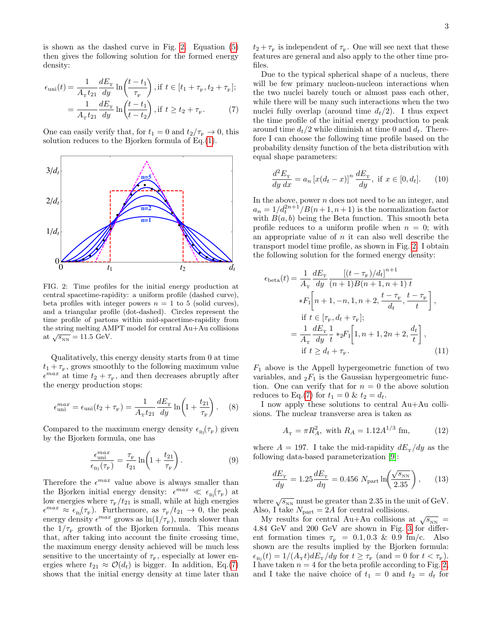is shown as the dashed curve in Fig. [2.](#page-2-0) Equation [\(5\)](#page-1-1) then gives the following solution for the formed energy density:

<span id="page-2-1"></span>
$$
\epsilon_{\text{uni}}(t) = \frac{1}{A_{\text{r}}t_{21}} \frac{dE_{\text{r}}}{dy} \ln\left(\frac{t - t_1}{\tau_{\text{r}}}\right), \text{if } t \in [t_1 + \tau_{\text{r}}, t_2 + \tau_{\text{r}}];
$$

$$
= \frac{1}{A_{\text{r}}t_{21}} \frac{dE_{\text{r}}}{dy} \ln\left(\frac{t - t_1}{t - t_2}\right), \text{if } t \ge t_2 + \tau_{\text{r}}.
$$
(7)

One can easily verify that, for  $t_1 = 0$  and  $t_2/\tau_{\rm F} \to 0$ , this solution reduces to the Bjorken formula of Eq.[\(1\)](#page-0-1).



<span id="page-2-0"></span>FIG. 2: Time profiles for the initial energy production at central spacetime-rapidity: a uniform profile (dashed curve), beta profiles with integer powers  $n = 1$  to 5 (solid curves), and a triangular profile (dot-dashed). Circles represent the time profile of partons within mid-spacetime-rapidity from the string melting AMPT model for central Au+Au collisions at  $\sqrt{s_\text{NN}}=11.5$  GeV.

Qualitatively, this energy density starts from 0 at time  $t_1 + \tau_{\rm F}$ , grows smoothly to the following maximum value  $\epsilon^{max}$  at time  $t_2 + \tau_{\rm F}$ , and then decreases abruptly after the energy production stops:

$$
\epsilon_{\rm uni}^{max} = \epsilon_{\rm uni}(t_2 + \tau_{\rm F}) = \frac{1}{A_{\rm T}t_{21}} \frac{dE_{\rm T}}{dy} \ln\left(1 + \frac{t_{21}}{\tau_{\rm F}}\right). \tag{8}
$$

Compared to the maximum energy density  $\epsilon_{\text{Bj}}(\tau_{\text{F}})$  given by the Bjorken formula, one has

<span id="page-2-2"></span>
$$
\frac{\epsilon_{\text{uni}}^{max}}{\epsilon_{\text{Bj}}(\tau_{\text{F}})} = \frac{\tau_{\text{F}}}{t_{21}} \ln\left(1 + \frac{t_{21}}{\tau_{\text{F}}}\right). \tag{9}
$$

Therefore the  $\epsilon^{max}$  value above is always smaller than the Bjorken initial energy density:  $\epsilon^{max} \ll \epsilon_{B}(\tau_F)$  at low energies where  $\tau_{\text{F}}/t_{21}$  is small, while at high energies  $\epsilon^{max} \approx \epsilon_{\text{Bj}}(\tau_{\text{F}})$ . Furthermore, as  $\tau_{\text{F}}/t_{21} \to 0$ , the peak energy density  $\epsilon^{max}$  grows as  $\ln(1/\tau_F)$ , much slower than the  $1/\tau_{\text{F}}$  growth of the Bjorken formula. This means that, after taking into account the finite crossing time, the maximum energy density achieved will be much less sensitive to the uncertainty of  $\tau_{\rm F}$ , especially at lower energies where  $t_{21} \approx \mathcal{O}(d_t)$  is bigger. In addition, Eq.[\(7\)](#page-2-1) shows that the initial energy density at time later than

 $t_2 + \tau_{\text{F}}$  is independent of  $\tau_{\text{F}}$ . One will see next that these features are general and also apply to the other time profiles.

Due to the typical spherical shape of a nucleus, there will be few primary nucleon-nucleon interactions when the two nuclei barely touch or almost pass each other, while there will be many such interactions when the two nuclei fully overlap (around time  $d_t/2$ ). I thus expect the time profile of the initial energy production to peak around time  $d_t/2$  while diminish at time 0 and  $d_t$ . Therefore I can choose the following time profile based on the probability density function of the beta distribution with equal shape parameters:

$$
\frac{d^2E_{\rm T}}{dy\,dx} = a_n \left[ x(d_t - x) \right]^n \frac{dE_{\rm T}}{dy}, \text{ if } x \in [0, d_t]. \tag{10}
$$

In the above, power  $n$  does not need to be an integer, and  $a_n = 1/d_t^{2n+1}/B(n+1, n+1)$  is the normalization factor with  $B(a, b)$  being the Beta function. This smooth beta profile reduces to a uniform profile when  $n = 0$ ; with an appropriate value of  $n$  it can also well describe the transport model time profile, as shown in Fig. [2.](#page-2-0) I obtain the following solution for the formed energy density:

$$
\epsilon_{\text{beta}}(t) = \frac{1}{A_{\text{T}}} \frac{dE_{\text{T}}}{dy} \frac{\left[ (t - \tau_{\text{F}}) / d_{t} \right]^{n+1}}{(n+1)B(n+1, n+1) t} \ast F_{1} \left[ n+1, -n, 1, n+2, \frac{t - \tau_{\text{F}}}{d_{t}}, \frac{t - \tau_{\text{F}}}{t} \right], \text{if } t \in [\tau_{\text{F}}, d_{t} + \tau_{\text{F}}]; \n= \frac{1}{A_{\text{T}}} \frac{dE_{\text{T}}}{dy} \frac{1}{t} * {}_{2}F_{1} \left[ 1, n+1, 2n+2, \frac{d_{t}}{t} \right], \text{if } t \geq d_{t} + \tau_{\text{F}}.
$$
\n(11)

 $F_1$  above is the Appell hypergeometric function of two variables, and  ${}_2F_1$  is the Gaussian hypergeometric function. One can verify that for  $n = 0$  the above solution reduces to Eq.[\(7\)](#page-2-1) for  $t_1 = 0$  &  $t_2 = d_t$ .

I now apply these solutions to central Au+Au collisions. The nuclear transverse area is taken as

$$
A_{\rm T} = \pi R_A^2, \text{ with } R_A = 1.12 A^{1/3} \text{ fm}, \qquad (12)
$$

where  $A = 197$ . I take the mid-rapidity  $dE_{\rm T}/dy$  as the following data-based parameterization [\[9\]](#page-5-8):

<span id="page-2-3"></span> $\frac{c}{1}$ 

$$
\frac{dE_{\rm T}}{dy} = 1.25 \frac{dE_{\rm T}}{d\eta} = 0.456 \ N_{\rm part} \ln\left(\frac{\sqrt{s_{\rm NN}}}{2.35}\right),\qquad(13)
$$

where  $\sqrt{s_{\rm NN}}$  must be greater than 2.35 in the unit of GeV. Also, I take  $N_{\text{part}} = 2A$  for central collisions.

My results for central Au+Au collisions at  $\sqrt{s_{_{NN}}}$  = 4.84 GeV and 200 GeV are shown in Fig. [3](#page-3-0) for different formation times  $\tau_{\rm F}$  = 0.1, 0.3 & 0.9 fm/c. Also shown are the results implied by the Bjorken formula:  $\epsilon_{\rm Bj}(t) = 1/(A_{\rm r}t)dE_{\rm r}/dy$  for  $t \geq \tau_{\rm F}$  (and  $= 0$  for  $t < \tau_{\rm F}$ ). I have taken  $n = 4$  for the beta profile according to Fig. [2,](#page-2-0) and I take the naive choice of  $t_1 = 0$  and  $t_2 = d_t$  for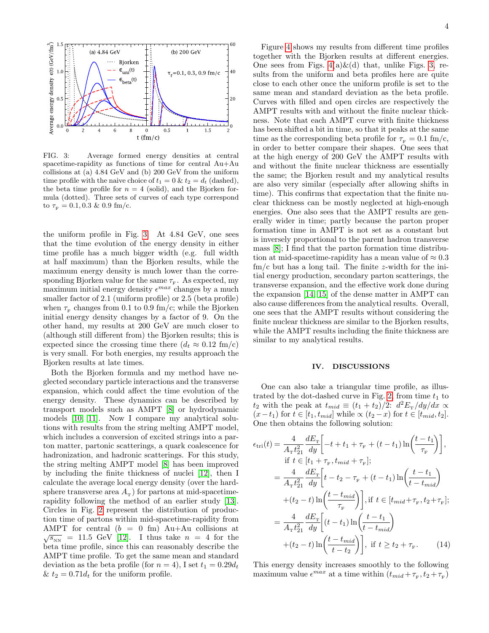

<span id="page-3-0"></span>FIG. 3: Average formed energy densities at central spacetime-rapidity as functions of time for central Au+Au collisions at (a) 4.84 GeV and (b) 200 GeV from the uniform time profile with the naive choice of  $t_1 = 0$  &  $t_2 = d_t$  (dashed), the beta time profile for  $n = 4$  (solid), and the Bjorken formula (dotted). Three sets of curves of each type correspond to  $\tau_{\rm F} = 0.1, 0.3 \& 0.9 \text{ fm/c}.$ 

the uniform profile in Fig. [3.](#page-3-0) At 4.84 GeV, one sees that the time evolution of the energy density in either time profile has a much bigger width (e.g. full width at half maximum) than the Bjorken results, while the maximum energy density is much lower than the corresponding Bjorken value for the same  $\tau_{\scriptscriptstyle \rm F}$ . As expected, my maximum initial energy density  $\epsilon^{max}$  changes by a much smaller factor of 2.1 (uniform profile) or 2.5 (beta profile) when  $\tau_{\text{\tiny F}}$  changes from 0.1 to 0.9 fm/c; while the Bjorken initial energy density changes by a factor of 9. On the other hand, my results at 200 GeV are much closer to (although still different from) the Bjorken results; this is expected since the crossing time there  $(d_t \approx 0.12 \text{ fm/c})$ is very small. For both energies, my results approach the Bjorken results at late times.

Both the Bjorken formula and my method have neglected secondary particle interactions and the transverse expansion, which could affect the time evolution of the energy density. These dynamics can be described by transport models such as AMPT [\[8\]](#page-5-7) or hydrodynamic models [\[10,](#page-5-9) [11\]](#page-5-10). Now I compare my analytical solutions with results from the string melting AMPT model, which includes a conversion of excited strings into a parton matter, partonic scatterings, a quark coalescence for hadronization, and hadronic scatterings. For this study, the string melting AMPT model [\[8\]](#page-5-7) has been improved by including the finite thickness of nuclei [\[12\]](#page-5-11), then I calculate the average local energy density (over the hardsphere transverse area  $A_{\text{T}}$ ) for partons at mid-spacetimerapidity following the method of an earlier study [\[13\]](#page-5-12). Circles in Fig. [2](#page-2-0) represent the distribution of production time of partons within mid-spacetime-rapidity from AMPT for central  $(b = 0$  fm) Au+Au collisions at  $\sqrt{s_{_{\rm NN}}}$  = 11.5 GeV [\[12\]](#page-5-11). I thus take  $n = 4$  for the beta time profile, since this can reasonably describe the AMPT time profile. To get the same mean and standard deviation as the beta profile (for  $n = 4$ ), I set  $t_1 = 0.29d_t$ &  $t_2 = 0.71d_t$  for the uniform profile.

Figure [4](#page-4-0) shows my results from different time profiles together with the Bjorken results at different energies. One sees from Figs.  $4(a)\&(d)$  that, unlike Figs. [3,](#page-3-0) results from the uniform and beta profiles here are quite close to each other once the uniform profile is set to the same mean and standard deviation as the beta profile. Curves with filled and open circles are respectively the AMPT results with and without the finite nuclear thickness. Note that each AMPT curve with finite thickness has been shifted a bit in time, so that it peaks at the same time as the corresponding beta profile for  $\tau_F = 0.1$  fm/c, in order to better compare their shapes. One sees that at the high energy of 200 GeV the AMPT results with and without the finite nuclear thickness are essentially the same; the Bjorken result and my analytical results are also very similar (especially after allowing shifts in time). This confirms that expectation that the finite nuclear thickness can be mostly neglected at high-enough energies. One also sees that the AMPT results are generally wider in time; partly because the parton proper formation time in AMPT is not set as a constant but is inversely proportional to the parent hadron transverse mass [\[8\]](#page-5-7); I find that the parton formation time distribution at mid-spacetime-rapidity has a mean value of  $\approx 0.3$  $\text{fm/c}$  but has a long tail. The finite z-width for the initial energy production, secondary parton scatterings, the transverse expansion, and the effective work done during the expansion [\[14,](#page-5-13) [15\]](#page-5-14) of the dense matter in AMPT can also cause differences from the analytical results. Overall, one sees that the AMPT results without considering the finite nuclear thickness are similar to the Bjorken results, while the AMPT results including the finite thickness are similar to my analytical results.

#### IV. DISCUSSIONS

One can also take a triangular time profile, as illus-trated by the dot-dashed curve in Fig. [2,](#page-2-0) from time  $t_1$  to  $t_2$  with the peak at  $t_{mid} \equiv (t_1 + t_2)/2$ :  $d^2E_\text{r}/dy/dx \propto$  $(x-t_1)$  for  $t \in [t_1, t_{mid}]$  while  $\propto (t_2-x)$  for  $t \in [t_{mid}, t_2]$ . One then obtains the following solution:

$$
\epsilon_{\text{tri}}(t) = \frac{4}{A_{\text{r}}t_{21}^2} \frac{dE_{\text{r}}}{dy} \left[ -t + t_1 + \tau_{\text{r}} + (t - t_1) \ln\left(\frac{t - t_1}{\tau_{\text{r}}}\right) \right],
$$
  
\nif  $t \in [t_1 + \tau_{\text{r}}, t_{mid} + \tau_{\text{r}}];$   
\n
$$
= \frac{4}{A_{\text{r}}t_{21}^2} \frac{dE_{\text{r}}}{dy} \left[ t - t_2 - \tau_{\text{r}} + (t - t_1) \ln\left(\frac{t - t_1}{t - t_{mid}}\right) \right]
$$
  
\n
$$
+ (t_2 - t) \ln\left(\frac{t - t_{mid}}{\tau_{\text{r}}}\right) \right], \text{if } t \in [t_{mid} + \tau_{\text{r}}, t_2 + \tau_{\text{r}}];
$$
  
\n
$$
= \frac{4}{A_{\text{r}}t_{21}^2} \frac{dE_{\text{r}}}{dy} \left[ (t - t_1) \ln\left(\frac{t - t_1}{t - t_{mid}}\right) \right]
$$
  
\n
$$
+ (t_2 - t) \ln\left(\frac{t - t_{mid}}{t - t_2}\right) \right], \text{if } t \ge t_2 + \tau_{\text{r}}.
$$
 (14)

This energy density increases smoothly to the following maximum value  $\epsilon^{max}$  at a time within  $(t_{mid} + \tau_{\rm F}, t_2 + \tau_{\rm F})$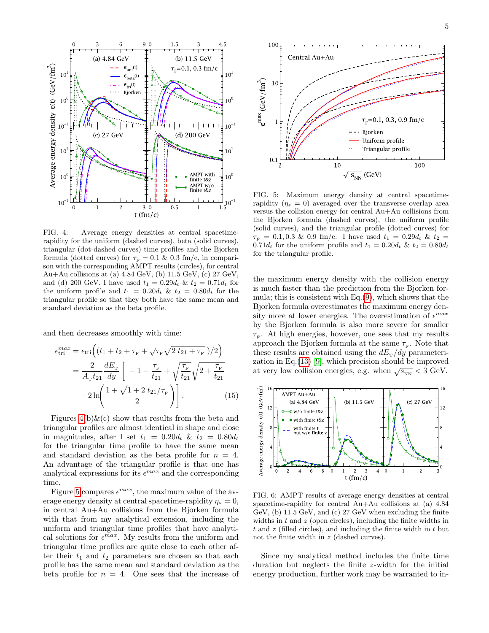

<span id="page-4-0"></span>FIG. 4: Average energy densities at central spacetimerapidity for the uniform (dashed curves), beta (solid curves), triangular (dot-dashed curves) time profiles and the Bjorken formula (dotted curves) for  $\tau_F = 0.1 \& 0.3$  fm/c, in comparison with the corresponding AMPT results (circles), for central Au+Au collisions at (a) 4.84 GeV, (b) 11.5 GeV, (c) 27 GeV, and (d) 200 GeV. I have used  $t_1 = 0.29d_t \& t_2 = 0.71d_t$  for the uniform profile and  $t_1 = 0.20d_t$  &  $t_2 = 0.80d_t$  for the triangular profile so that they both have the same mean and standard deviation as the beta profile.

and then decreases smoothly with time:

$$
\epsilon_{\text{tri}}^{max} = \epsilon_{\text{tri}} \Big( (t_1 + t_2 + \tau_{\text{F}} + \sqrt{\tau_{\text{F}}} \sqrt{2 t_{21} + \tau_{\text{F}}} )/2 \Big)
$$
  
= 
$$
\frac{2}{A_{\text{T}} t_{21}} \frac{dE_{\text{T}}}{dy} \Big[ -1 - \frac{\tau_{\text{F}}}{t_{21}} + \sqrt{\frac{\tau_{\text{F}}}{t_{21}}} \sqrt{2 + \frac{\tau_{\text{F}}}{t_{21}}}
$$
  
+ 
$$
2 \ln \Biggl( \frac{1 + \sqrt{1 + 2 t_{21}/\tau_{\text{F}}}}{2} \Biggr) \Bigg].
$$
 (15)

Figures  $4(b) \& c$  show that results from the beta and triangular profiles are almost identical in shape and close in magnitudes, after I set  $t_1 = 0.20d_t$  &  $t_2 = 0.80d_t$ for the triangular time profile to have the same mean and standard deviation as the beta profile for  $n = 4$ . An advantage of the triangular profile is that one has analytical expressions for its  $\epsilon^{max}$  and the corresponding time.

Figure [5](#page-4-1) compares  $\epsilon^{max}$ , the maximum value of the average energy density at central spacetime-rapidity  $\eta_s = 0$ , in central Au+Au collisions from the Bjorken formula with that from my analytical extension, including the uniform and triangular time profiles that have analytical solutions for  $\epsilon^{max}$ . My results from the uniform and triangular time profiles are quite close to each other after their  $t_1$  and  $t_2$  parameters are chosen so that each profile has the same mean and standard deviation as the beta profile for  $n = 4$ . One sees that the increase of



<span id="page-4-1"></span>FIG. 5: Maximum energy density at central spacetimerapidity  $(\eta_s = 0)$  averaged over the transverse overlap area versus the collision energy for central Au+Au collisions from the Bjorken formula (dashed curves), the uniform profile (solid curves), and the triangular profile (dotted curves) for  $\tau_{\rm F}$  = 0.1, 0.3 & 0.9 fm/c. I have used  $t_1 = 0.29 d_t$  &  $t_2$  = 0.71 $d_t$  for the uniform profile and  $t_1 = 0.20d_t$  &  $t_2 = 0.80d_t$ for the triangular profile.

the maximum energy density with the collision energy is much faster than the prediction from the Bjorken formula; this is consistent with Eq.[\(9\)](#page-2-2), which shows that the Bjorken formula overestimates the maximum energy density more at lower energies. The overestimation of  $\epsilon^{max}$ by the Bjorken formula is also more severe for smaller  $\tau_{\text{\tiny F}}$ . At high energies, however, one sees that my results approach the Bjorken formula at the same  $\tau_{\scriptscriptstyle \rm F} .$  Note that these results are obtained using the  $dE<sub>T</sub>/dy$  parameterization in Eq.[\(13\)](#page-2-3) [\[9\]](#page-5-8), which precision should be improved at very low collision energies, e.g. when  $\sqrt{s_{_{\rm NN}}}$  < 3 GeV.



<span id="page-4-2"></span>FIG. 6: AMPT results of average energy densities at central spacetime-rapidity for central Au+Au collisions at (a) 4.84 GeV, (b) 11.5 GeV, and (c) 27 GeV when excluding the finite widths in  $t$  and  $z$  (open circles), including the finite widths in  $t$  and z (filled circles), and including the finite width in  $t$  but not the finite width in z (dashed curves).

Since my analytical method includes the finite time duration but neglects the finite z-width for the initial energy production, further work may be warranted to in